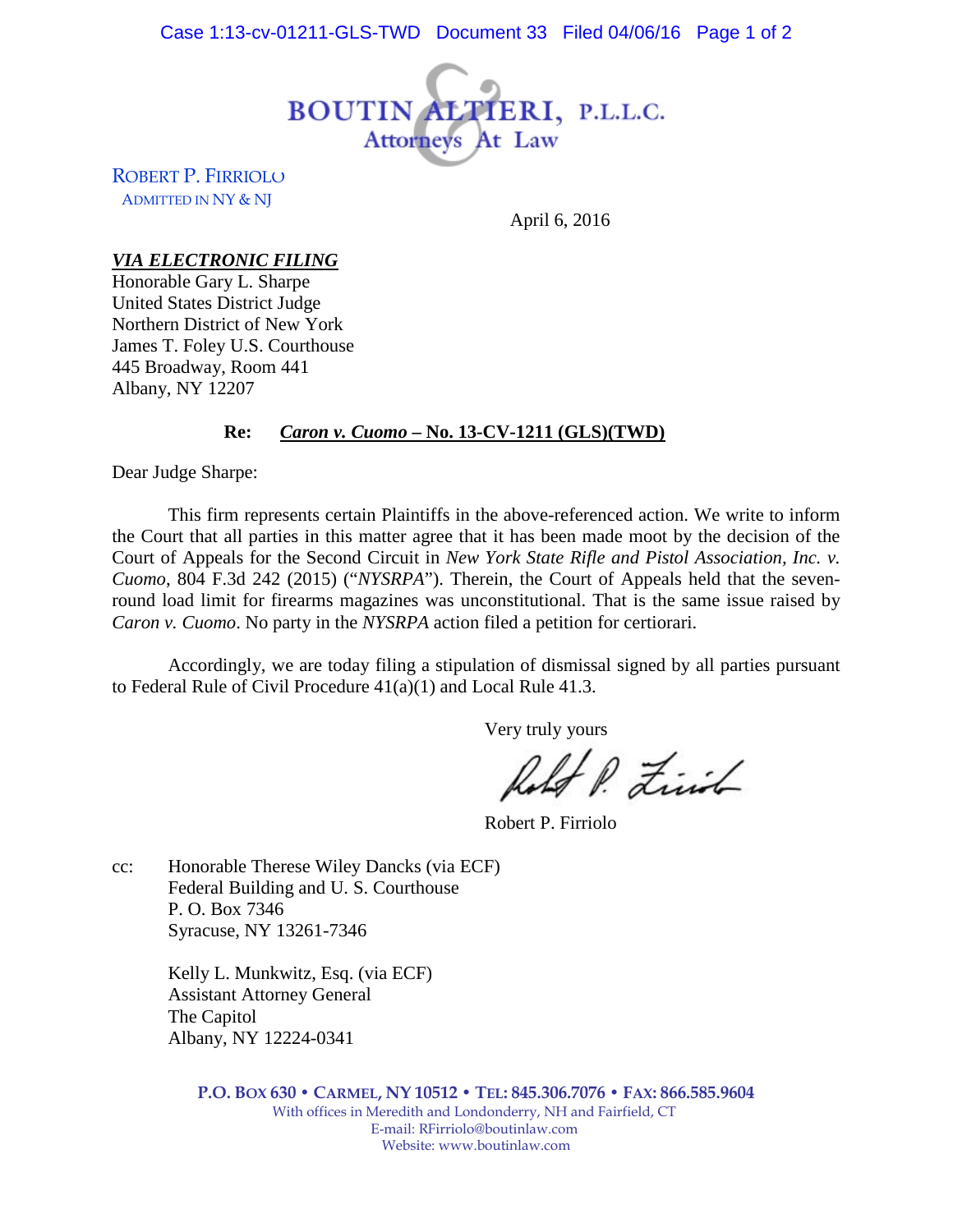

ROBERT P. FIRRIOLO ADMITTED IN NY & NJ

April 6, 2016

## *VIA ELECTRONIC FILING*

Honorable Gary L. Sharpe United States District Judge Northern District of New York James T. Foley U.S. Courthouse 445 Broadway, Room 441 Albany, NY 12207

## **Re:** *Caron v. Cuomo* **– No. 13-CV-1211 (GLS)(TWD)**

Dear Judge Sharpe:

This firm represents certain Plaintiffs in the above-referenced action. We write to inform the Court that all parties in this matter agree that it has been made moot by the decision of the Court of Appeals for the Second Circuit in *New York State Rifle and Pistol Association, Inc. v. Cuomo*, 804 F.3d 242 (2015) ("*NYSRPA*"). Therein, the Court of Appeals held that the sevenround load limit for firearms magazines was unconstitutional. That is the same issue raised by *Caron v. Cuomo*. No party in the *NYSRPA* action filed a petition for certiorari.

Accordingly, we are today filing a stipulation of dismissal signed by all parties pursuant to Federal Rule of Civil Procedure 41(a)(1) and Local Rule 41.3.

Very truly yours

If P. Link

Robert P. Firriolo

cc: Honorable Therese Wiley Dancks (via ECF) Federal Building and U. S. Courthouse P. O. Box 7346 Syracuse, NY 13261-7346

> Kelly L. Munkwitz, Esq. (via ECF) Assistant Attorney General The Capitol Albany, NY 12224-0341

> > **P.O. BOX 630 • CARMEL, NY 10512 • TEL: 845.306.7076 • FAX: 866.585.9604** With offices in Meredith and Londonderry, NH and Fairfield, CT E-mail: RFirriolo@boutinlaw.com Website: www.boutinlaw.com